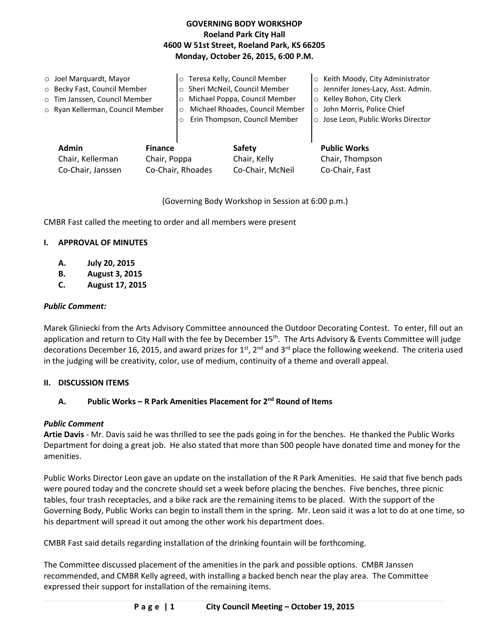# **GOVERNING BODY WORKSHOP Roeland Park City Hall 4600 W 51st Street, Roeland Park, KS 66205 Monday, October 26, 2015, 6:00 P.M.**

|  | $\circ$ Joel Marquardt, Mayor<br>o Becky Fast, Council Member<br>o Tim Janssen, Council Member<br>o Ryan Kellerman, Council Member<br><b>Admin</b><br><b>Finance</b><br>Chair, Kellerman<br>Chair, Poppa<br>Co-Chair, Janssen |  | Teresa Kelly, Council Member<br>Sheri McNeil, Council Member<br>Michael Poppa, Council Member<br>$\circ$<br>Michael Rhoades, Council Member<br>$\circ$<br>Erin Thompson, Council Member |                               | o Keith Moody, City Administrator<br>o Jennifer Jones-Lacy, Asst. Admin.<br>○ Kelley Bohon, City Clerk<br>o John Morris, Police Chief<br>o Jose Leon, Public Works Director |
|--|-------------------------------------------------------------------------------------------------------------------------------------------------------------------------------------------------------------------------------|--|-----------------------------------------------------------------------------------------------------------------------------------------------------------------------------------------|-------------------------------|-----------------------------------------------------------------------------------------------------------------------------------------------------------------------------|
|  |                                                                                                                                                                                                                               |  |                                                                                                                                                                                         | <b>Safety</b><br>Chair, Kelly | <b>Public Works</b><br>Chair, Thompson                                                                                                                                      |
|  |                                                                                                                                                                                                                               |  | Co-Chair, Rhoades                                                                                                                                                                       | Co-Chair, McNeil              | Co-Chair, Fast                                                                                                                                                              |

### (Governing Body Workshop in Session at 6:00 p.m.)

CMBR Fast called the meeting to order and all members were present

### **I. APPROVAL OF MINUTES**

- **A. July 20, 2015**
- **B. August 3, 2015**
- **C. August 17, 2015**

### *Public Comment:*

Marek Gliniecki from the Arts Advisory Committee announced the Outdoor Decorating Contest. To enter, fill out an application and return to City Hall with the fee by December  $15<sup>th</sup>$ . The Arts Advisory & Events Committee will judge decorations December 16, 2015, and award prizes for  $1^{st}$ ,  $2^{nd}$  and  $3^{rd}$  place the following weekend. The criteria used in the judging will be creativity, color, use of medium, continuity of a theme and overall appeal.

### **II. DISCUSSION ITEMS**

### **A. Public Works – R Park Amenities Placement for 2nd Round of Items**

### *Public Comment*

**Artie Davis** - Mr. Davis said he was thrilled to see the pads going in for the benches. He thanked the Public Works Department for doing a great job. He also stated that more than 500 people have donated time and money for the amenities.

Public Works Director Leon gave an update on the installation of the R Park Amenities. He said that five bench pads were poured today and the concrete should set a week before placing the benches. Five benches, three picnic tables, four trash receptacles, and a bike rack are the remaining items to be placed. With the support of the Governing Body, Public Works can begin to install them in the spring. Mr. Leon said it was a lot to do at one time, so his department will spread it out among the other work his department does.

CMBR Fast said details regarding installation of the drinking fountain will be forthcoming.

The Committee discussed placement of the amenities in the park and possible options. CMBR Janssen recommended, and CMBR Kelly agreed, with installing a backed bench near the play area. The Committee expressed their support for installation of the remaining items.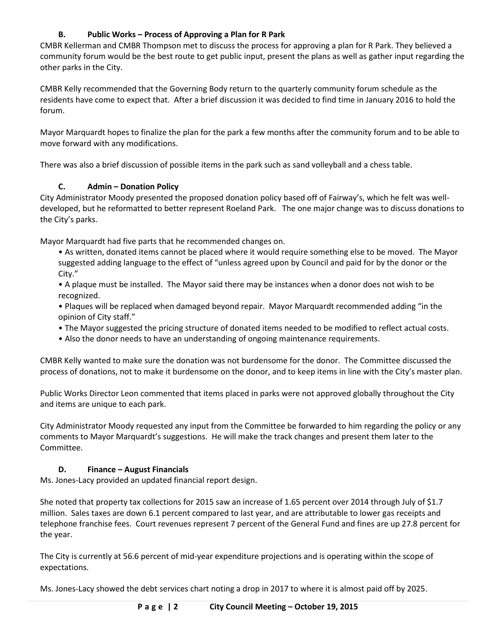# **B. Public Works – Process of Approving a Plan for R Park**

CMBR Kellerman and CMBR Thompson met to discuss the process for approving a plan for R Park. They believed a community forum would be the best route to get public input, present the plans as well as gather input regarding the other parks in the City.

CMBR Kelly recommended that the Governing Body return to the quarterly community forum schedule as the residents have come to expect that. After a brief discussion it was decided to find time in January 2016 to hold the forum.

Mayor Marquardt hopes to finalize the plan for the park a few months after the community forum and to be able to move forward with any modifications.

There was also a brief discussion of possible items in the park such as sand volleyball and a chess table.

# **C. Admin – Donation Policy**

City Administrator Moody presented the proposed donation policy based off of Fairway's, which he felt was welldeveloped, but he reformatted to better represent Roeland Park. The one major change was to discuss donations to the City's parks.

Mayor Marquardt had five parts that he recommended changes on.

- As written, donated items cannot be placed where it would require something else to be moved. The Mayor suggested adding language to the effect of "unless agreed upon by Council and paid for by the donor or the City."
- A plaque must be installed. The Mayor said there may be instances when a donor does not wish to be recognized.
- Plaques will be replaced when damaged beyond repair. Mayor Marquardt recommended adding "in the opinion of City staff."
- The Mayor suggested the pricing structure of donated items needed to be modified to reflect actual costs.
- Also the donor needs to have an understanding of ongoing maintenance requirements.

CMBR Kelly wanted to make sure the donation was not burdensome for the donor. The Committee discussed the process of donations, not to make it burdensome on the donor, and to keep items in line with the City's master plan.

Public Works Director Leon commented that items placed in parks were not approved globally throughout the City and items are unique to each park.

City Administrator Moody requested any input from the Committee be forwarded to him regarding the policy or any comments to Mayor Marquardt's suggestions. He will make the track changes and present them later to the Committee.

## **D. Finance – August Financials**

Ms. Jones-Lacy provided an updated financial report design.

She noted that property tax collections for 2015 saw an increase of 1.65 percent over 2014 through July of \$1.7 million. Sales taxes are down 6.1 percent compared to last year, and are attributable to lower gas receipts and telephone franchise fees. Court revenues represent 7 percent of the General Fund and fines are up 27.8 percent for the year.

The City is currently at 56.6 percent of mid-year expenditure projections and is operating within the scope of expectations.

Ms. Jones-Lacy showed the debt services chart noting a drop in 2017 to where it is almost paid off by 2025.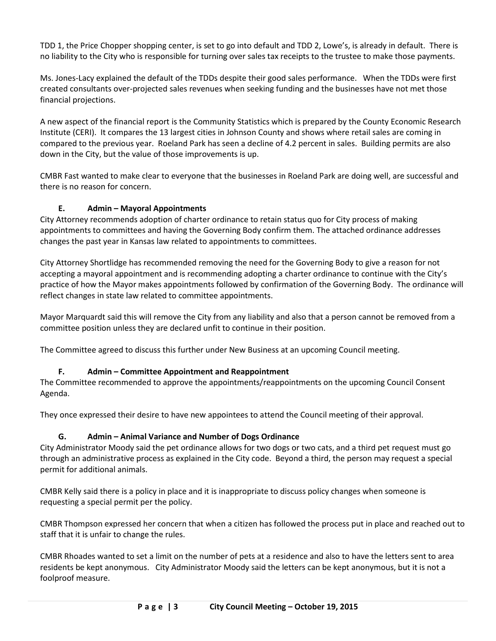TDD 1, the Price Chopper shopping center, is set to go into default and TDD 2, Lowe's, is already in default. There is no liability to the City who is responsible for turning over sales tax receipts to the trustee to make those payments.

Ms. Jones-Lacy explained the default of the TDDs despite their good sales performance. When the TDDs were first created consultants over-projected sales revenues when seeking funding and the businesses have not met those financial projections.

A new aspect of the financial report is the Community Statistics which is prepared by the County Economic Research Institute (CERI). It compares the 13 largest cities in Johnson County and shows where retail sales are coming in compared to the previous year. Roeland Park has seen a decline of 4.2 percent in sales. Building permits are also down in the City, but the value of those improvements is up.

CMBR Fast wanted to make clear to everyone that the businesses in Roeland Park are doing well, are successful and there is no reason for concern.

# **E. Admin – Mayoral Appointments**

City Attorney recommends adoption of charter ordinance to retain status quo for City process of making appointments to committees and having the Governing Body confirm them. The attached ordinance addresses changes the past year in Kansas law related to appointments to committees.

City Attorney Shortlidge has recommended removing the need for the Governing Body to give a reason for not accepting a mayoral appointment and is recommending adopting a charter ordinance to continue with the City's practice of how the Mayor makes appointments followed by confirmation of the Governing Body. The ordinance will reflect changes in state law related to committee appointments.

Mayor Marquardt said this will remove the City from any liability and also that a person cannot be removed from a committee position unless they are declared unfit to continue in their position.

The Committee agreed to discuss this further under New Business at an upcoming Council meeting.

## **F. Admin – Committee Appointment and Reappointment**

The Committee recommended to approve the appointments/reappointments on the upcoming Council Consent Agenda.

They once expressed their desire to have new appointees to attend the Council meeting of their approval.

# **G. Admin – Animal Variance and Number of Dogs Ordinance**

City Administrator Moody said the pet ordinance allows for two dogs or two cats, and a third pet request must go through an administrative process as explained in the City code. Beyond a third, the person may request a special permit for additional animals.

CMBR Kelly said there is a policy in place and it is inappropriate to discuss policy changes when someone is requesting a special permit per the policy.

CMBR Thompson expressed her concern that when a citizen has followed the process put in place and reached out to staff that it is unfair to change the rules.

CMBR Rhoades wanted to set a limit on the number of pets at a residence and also to have the letters sent to area residents be kept anonymous. City Administrator Moody said the letters can be kept anonymous, but it is not a foolproof measure.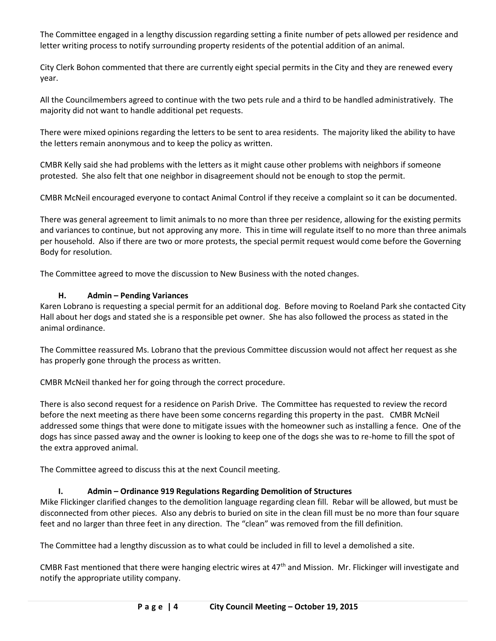The Committee engaged in a lengthy discussion regarding setting a finite number of pets allowed per residence and letter writing process to notify surrounding property residents of the potential addition of an animal.

City Clerk Bohon commented that there are currently eight special permits in the City and they are renewed every year.

All the Councilmembers agreed to continue with the two pets rule and a third to be handled administratively. The majority did not want to handle additional pet requests.

There were mixed opinions regarding the letters to be sent to area residents. The majority liked the ability to have the letters remain anonymous and to keep the policy as written.

CMBR Kelly said she had problems with the letters as it might cause other problems with neighbors if someone protested. She also felt that one neighbor in disagreement should not be enough to stop the permit.

CMBR McNeil encouraged everyone to contact Animal Control if they receive a complaint so it can be documented.

There was general agreement to limit animals to no more than three per residence, allowing for the existing permits and variances to continue, but not approving any more. This in time will regulate itself to no more than three animals per household. Also if there are two or more protests, the special permit request would come before the Governing Body for resolution.

The Committee agreed to move the discussion to New Business with the noted changes.

## **H. Admin – Pending Variances**

Karen Lobrano is requesting a special permit for an additional dog. Before moving to Roeland Park she contacted City Hall about her dogs and stated she is a responsible pet owner. She has also followed the process as stated in the animal ordinance.

The Committee reassured Ms. Lobrano that the previous Committee discussion would not affect her request as she has properly gone through the process as written.

CMBR McNeil thanked her for going through the correct procedure.

There is also second request for a residence on Parish Drive. The Committee has requested to review the record before the next meeting as there have been some concerns regarding this property in the past. CMBR McNeil addressed some things that were done to mitigate issues with the homeowner such as installing a fence. One of the dogs has since passed away and the owner is looking to keep one of the dogs she was to re-home to fill the spot of the extra approved animal.

The Committee agreed to discuss this at the next Council meeting.

## **I. Admin – Ordinance 919 Regulations Regarding Demolition of Structures**

Mike Flickinger clarified changes to the demolition language regarding clean fill. Rebar will be allowed, but must be disconnected from other pieces. Also any debris to buried on site in the clean fill must be no more than four square feet and no larger than three feet in any direction. The "clean" was removed from the fill definition.

The Committee had a lengthy discussion as to what could be included in fill to level a demolished a site.

CMBR Fast mentioned that there were hanging electric wires at 47<sup>th</sup> and Mission. Mr. Flickinger will investigate and notify the appropriate utility company.